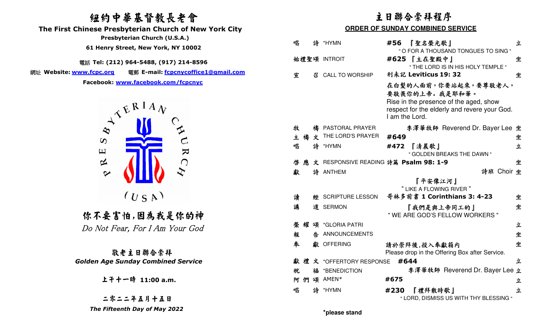# 紐約中華基督教長老會



| 纽约中華基督教長老會<br>The First Chinese Presbyterian Church of New York City                                       | 主日聯合崇拜程序<br><b>ORDER OF SUNDAY COMBINED SERVICE</b> |   |                                       |      |                                                                                                                                                     |            |
|------------------------------------------------------------------------------------------------------------|-----------------------------------------------------|---|---------------------------------------|------|-----------------------------------------------------------------------------------------------------------------------------------------------------|------------|
| Presbyterian Church (U.S.A.)<br>61 Henry Street, New York, NY 10002                                        | 唱                                                   | 詩 | *HYMN                                 |      | #56 『聖名榮光歌』<br>" O FOR A THOUSAND TONGUES TO SING "                                                                                                 | 立          |
| 電話 Tel: (212) 964-5488, (917) 214-8596                                                                     |                                                     |   | 始禮聖頌 INTROIT                          |      | #625 【主在聖殿中】<br>" THE LORD IS IN HIS HOLY TEMPLE "                                                                                                  | 坐          |
| 網址 Website: www.fcpc.org<br>電郵 E-mail: fcpcnycoffice1@gmail.com                                            | 宣                                                   | 짐 | <b>CALL TO WORSHIP</b>                |      | 利未記 Leviticus 19: 32                                                                                                                                | 坐          |
| Facebook: www.facebook.com/fcpcnyc<br>$\mathcal{L}^{\mathbf{R} \, \mathbf{I} \, \mathbf{A} \, \mathbf{V}}$ |                                                     |   |                                       |      | 在白髮的人面前,你要站起來,要尊敬老人,<br>要敬畏你的上帝. 我是耶和華。<br>Rise in the presence of the aged, show<br>respect for the elderly and revere your God.<br>I am the Lord. |            |
| $\infty$                                                                                                   | 牧                                                   |   | 禱 PASTORAL PRAYER                     |      | 李澤華牧師 Reverend Dr. Bayer Lee 坐                                                                                                                      |            |
| $\boldsymbol{\omega}$                                                                                      | 主禧                                                  |   | $\dot{\mathbf{x}}$ THE LORD'S PRAYER  | #649 |                                                                                                                                                     | 坐          |
| $\mathbf{\Sigma}$<br>$\Xi$                                                                                 | 唱                                                   | 詩 | *HYMN                                 |      | #472 『清晨歌』<br>" GOLDEN BREAKS THE DAWN "                                                                                                            | 立          |
| $\approx$<br>$\bigcap$                                                                                     | 啓                                                   |   | 文 RESPONSIVE READING 詩篇 Psalm 98: 1-9 |      |                                                                                                                                                     | 坐          |
| $\boldsymbol{\mathcal{C}}$                                                                                 | 獻                                                   |   | 詩 ANTHEM                              |      | 『平安像江河』<br>" LIKE A FLOWING RIVER "                                                                                                                 | 詩班 Choir 坐 |
| (U S A)                                                                                                    | 讀                                                   |   | <b>經 SCRIPTURE LESSON</b>             |      | 哥林多前書 1 Corinthians 3: 4-23                                                                                                                         | 坐          |
| 你不要害怕,因為我是你的神                                                                                              | 講                                                   |   | 道 SERMON                              |      | 『我們是與上帝同工的』<br>" WE ARE GOD'S FELLOW WORKERS "                                                                                                      | 坐          |
| Do Not Fear, For I Am Your God                                                                             | 榮                                                   | 頌 | *GLORIA PATRI                         |      |                                                                                                                                                     | 立          |
|                                                                                                            | 報                                                   | 告 | ANNOUNCEMENTS                         |      |                                                                                                                                                     | 坐          |
| 敬老主日聯合崇拜                                                                                                   | 奉                                                   |   | 獻 OFFERING                            |      | 請於崇拜後,投入奉獻箱内<br>Please drop in the Offering Box after Service.                                                                                      | 坐          |
| <b>Golden Age Sunday Combined Service</b>                                                                  |                                                     |   | 獻禮文 *OFFERTORY RESPONSE               |      | #644                                                                                                                                                | 立          |
|                                                                                                            | 祝                                                   |   | 福 *BENEDICTION                        |      | 李澤華牧師 Reverend Dr. Bayer Lee 立                                                                                                                      |            |
| 上干十一時 11:00 a.m.                                                                                           |                                                     |   | 阿們頌 AMEN*                             | #675 |                                                                                                                                                     | 立          |
|                                                                                                            | 唱                                                   | 詩 | *HYMN                                 | #230 | 『禮拜散時歌』                                                                                                                                             | 立          |
| 二零二二年五月十五日                                                                                                 |                                                     |   |                                       |      | " LORD, DISMISS US WITH THY BLESSING "                                                                                                              |            |
| The Fifteenth Day of May 2022                                                                              |                                                     |   | *please stand                         |      |                                                                                                                                                     |            |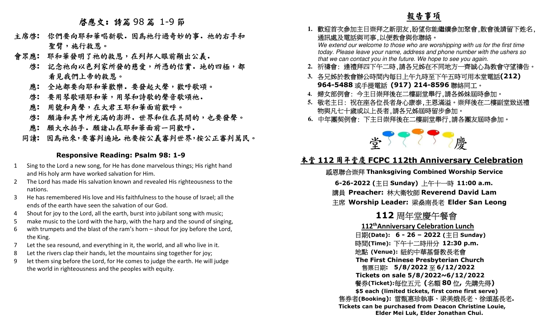啟應文: 詩篇 <sup>98</sup> <sup>篇</sup> 1-9 <sup>節</sup>

- 主席啓: 你們要向耶和華唱新歌. 因為祂行過奇妙的事. 祂的右手和 聖臂,施行救恩。
- 會眾應**:** 耶和華發明了祂的救恩,在列邦人眼前顯出公義.
	- 啟**:** 記念祂向以色列家所發的慈愛,所憑的信實.地的四極,都 看見我們上帝的救恩。
		- 應**:** 全地都要向耶和華歡樂.要發起大聲,歡呼歌頌。
		- 啟**:** 要用琴歌頌耶和華,用琴和詩歌的聲音歌頌祂.
		- 應**:** 用號和角聲,在大君王耶和華面前歡呼。
		- 啟**:** 願海和其中所充滿的澎湃.世界和住在其間的,也要發聲。
		-
	- 應: 願大水拍手. 願諸山在耶和華面前一同歡呼.<br>同讀: 因為祂來,要審判遍地.祂要按公義審判世界,按公正審判萬民。

### **Responsive Reading: Psalm 98: 1-9**

- 1 Sing to the Lord a new song, for He has done marvelous things; His right hand and His holy arm have worked salvation for Him.
- 2 The Lord has made His salvation known and revealed His righteousness to the nations.
- 3 He has remembered His love and His faithfulness to the house of Israel; all the ends of the earth have seen the salvation of our God.
- 4 Shout for joy to the Lord, all the earth, burst into jubilant song with music;
- make music to the Lord with the harp, with the harp and the sound of singing,
- 6 with trumpets and the blast of the ram's horn shout for joy before the Lord, the King.
- 7 Let the sea resound, and everything in it, the world, and all who live in it.
- 8 Let the rivers clap their hands, let the mountains sing together for joy;
- 9 let them sing before the Lord, for He comes to judge the earth. He will judge

- 
- 
- 
- 
- 



the world in righteousness and the peoples with equity. 報告事項 **1.** 歡迎首次參加主日崇拜之新朋友,盼望你能繼續參加聚會,散會後請留下姓名, 通訊處及電話與司事,以便教會與你聯絡。 We extend our welcome to those who are worshipping with us for the first time today. Please leave your name, address and phone number with the ushers so that we can contact you in the future. We hope to see you again. **2.** 祈禱會: 逢禮拜四下午二時,請各兄姊在不同地方一齊誠心為教會守望禱告。 **3.** 各兄姊於教會辦公時間內每日上午九時至下午五時可用本堂電話**(212) 964-5488** 或手提電話 **(917) 214-8596** 聯絡同工。 **4.** 婦女部例會: 今主日崇拜後在二樓副堂舉行,請各姊妹屆時參加。 **5.** 敬老主日: 祝在座各位長者身心康泰,主恩滿溢。崇拜後在二樓副堂致送禮 物與凡七十歲或以上長者,請各兄姊屆時留步參加。 **6.** 中年團契例會: 下主日崇拜後在二樓副堂舉行,請各團友屆時參加。 <sup>堂</sup> <sup>慶</sup> 本堂 **<sup>112</sup>** 周年堂慶 **FCPC 112th Anniversary Celebration** 感恩聯合崇拜 **Thanksgiving Combined Worship Service 6-26-2022 (**主日 **Sunday)** 上午十一時 **11:00 a.m.** 講員 **Preacher:** 林大衛牧師 **Reverend David Lam** 主席 **Worship Leader:** 梁燊南長老 **Elder San Leong <sup>112</sup>** 周年堂慶午餐會 **112thAnniversary Celebration Lunch** 日期**(Date): 6 - 26 – 2022 (**主日 **Sunday)** 時間**(Time):** 下午十二時卅分 **12:30 p.m.** 地點 **(Venue):** 紐約中華基督教長老會 **The First Chinese Presbyterian Church** 售票日期**: 5/8/2022**售票日期: 5/8/2022 至 6/12/2022 **6/12/2022 Tickets on sale 5/8/2022~6/12/2022** 餐券**(Ticket):**每位五元 **(**名額**\$5 each (limited tickets, first come first serve)** 售券者**(Booking):** 雷甄惠珍執事、梁美娥長老、徐頌基長老**. Tickets can be purchased from Deacon Christine Louie, Elder Mei Luk, Elder Jonathan Chui.**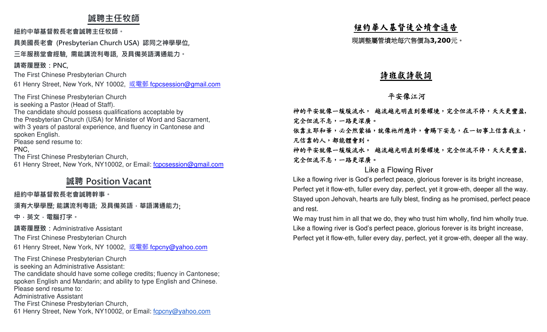## **誠聘主任牧師**

**紐約中華基督教⻑老會誠聘主任牧師。**

**具美國⻑老會 (Presbyterian Church USA) 認同之神學學位,** 

### **三年服務堂會經驗, 需能講流利粵語, 及具備英語溝通能力。**

**請寄履歷致:PNC,**

The First Chinese Presbyterian Church

61 Henry Street, New York, NY 10002, <u>或電郵 f<mark>cpcsession@gmail.com</mark></u>

The First Chinese Presbyterian Church is seeking a Pastor (Head of Staff). The candidate should possess qualifications acceptable by the Presbyterian Church (USA) for Minister of Word and Sacrament, with 3 years of pastoral experience, and fluency in Cantonese and spoken English. Please send resume to: PNC,

The First Chinese Presbyterian Church,

61 Henry Street, New York, NY10002, or Email: f**cpcsession@gmail.com** 

# **誠聘 Position Vacant**

### **紐約中華基督教⻑老會誠聘幹事。**

**須有大學學歷; 能講流利粵語; 及具備英語,華語溝通能力**;

**中,英文,電腦打字。 請寄履歷致:**Administrative Assistant

The First Chinese Presbyterian Church

61 Henry Street, New York, NY 10002, <u>或電郵 fcpcny@yahoo.com</u>

The First Chinese Presbyterian Churchis seeking an Administrative Assistant:

 The candidate should have some college credits; fluency in Cantonese; spoken English and Mandarin; and ability to type English and Chinese.Please send resume to: Administrative Assistant The First Chinese Presbyterian Church,61 Henry Street, New York, NY10002, or Email: fcpcny@yahoo.com

# 紐約華人基督徒公墳會通告

現調整屬管墳地每穴售價為**3,200**元。

## 詩班獻詩歌詞

## 平安像江河

神的平安就像一緩緩流水, 越流越光明直到榮耀境,完全但流不停,天天更豐盈**,**  完全但流不息,一路更深廣。依靠主耶和華,必全然蒙福,就像祂所應許,會賜下安息,在一切事上信靠我主, 凡信靠的人,都能體會到。 神的平安就像一緩緩流水, 越流越光明直到榮耀境,完全但流不停,天天更豐盈**,**  完全但流不息,一路更深廣。

### Like a Flowing River

Like a flowing river is God's perfect peace, glorious forever is its bright increase, Perfect yet it flow-eth, fuller every day, perfect, yet it grow-eth, deeper all the way. Stayed upon Jehovah, hearts are fully blest, finding as he promised, perfect peace and rest.

We may trust him in all that we do, they who trust him wholly, find him wholly true. Like a flowing river is God's perfect peace, glorious forever is its bright increase, Perfect yet it flow-eth, fuller every day, perfect, yet it grow-eth, deeper all the way.